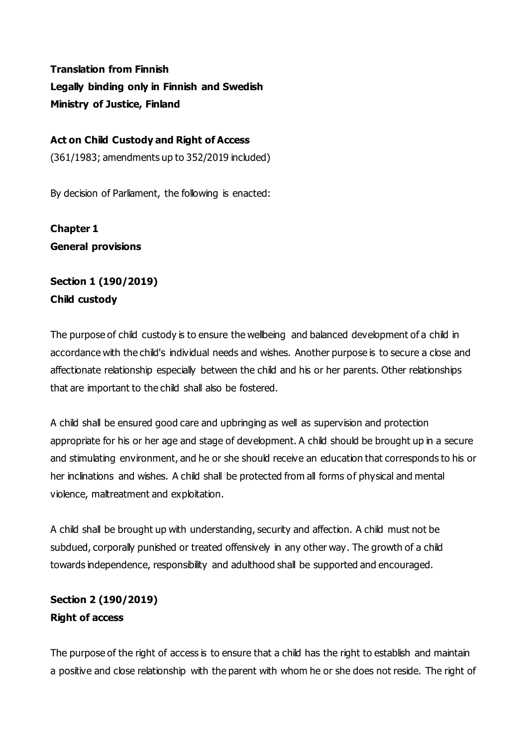**Translation from Finnish Legally binding only in Finnish and Swedish Ministry of Justice, Finland** 

#### **Act on Child Custody and Right of Access**

(361/1983; amendments up to 352/2019 included)

By decision of Parliament, the following is enacted:

**Chapter 1 General provisions**

# **Section 1 (190/2019) Child custody**

The purpose of child custody is to ensure the wellbeing and balanced development of a child in accordance with the child's individual needs and wishes. Another purpose is to secure a close and affectionate relationship especially between the child and his or her parents. Other relationships that are important to the child shall also be fostered.

A child shall be ensured good care and upbringing as well as supervision and protection appropriate for his or her age and stage of development. A child should be brought up in a secure and stimulating environment, and he or she should receive an education that corresponds to his or her inclinations and wishes. A child shall be protected from all forms of physical and mental violence, maltreatment and exploitation.

A child shall be brought up with understanding, security and affection. A child must not be subdued, corporally punished or treated offensively in any other way. The growth of a child towards independence, responsibility and adulthood shall be supported and encouraged.

## **Section 2 (190/2019) Right of access**

The purpose of the right of access is to ensure that a child has the right to establish and maintain a positive and close relationship with the parent with whom he or she does not reside. The right of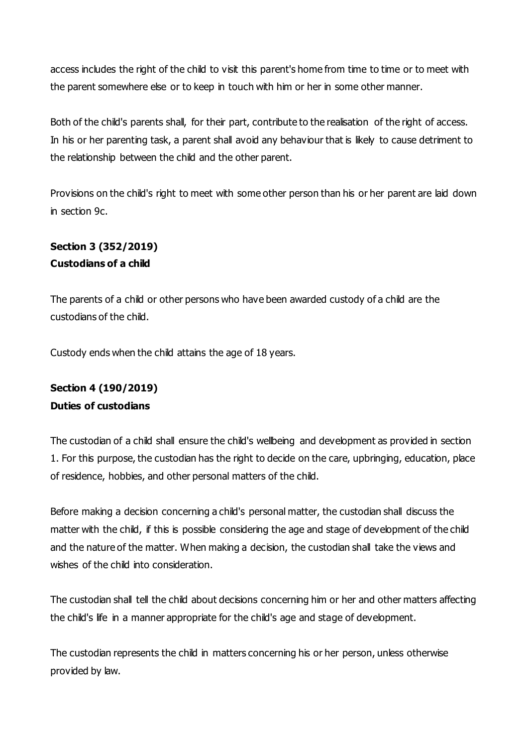access includes the right of the child to visit this parent's home from time to time or to meet with the parent somewhere else or to keep in touch with him or her in some other manner.

Both of the child's parents shall, for their part, contribute to the realisation of the right of access. In his or her parenting task, a parent shall avoid any behaviour that is likely to cause detriment to the relationship between the child and the other parent.

Provisions on the child's right to meet with some other person than his or her parent are laid down in section 9c.

# **Section 3 (352/2019) Custodians of a child**

The parents of a child or other persons who have been awarded custody of a child are the custodians of the child.

Custody ends when the child attains the age of 18 years.

# **Section 4 (190/2019) Duties of custodians**

The custodian of a child shall ensure the child's wellbeing and development as provided in section 1. For this purpose, the custodian has the right to decide on the care, upbringing, education, place of residence, hobbies, and other personal matters of the child.

Before making a decision concerning a child's personal matter, the custodian shall discuss the matter with the child, if this is possible considering the age and stage of development of the child and the nature of the matter. When making a decision, the custodian shall take the views and wishes of the child into consideration.

The custodian shall tell the child about decisions concerning him or her and other matters affecting the child's life in a manner appropriate for the child's age and stage of development.

The custodian represents the child in matters concerning his or her person, unless otherwise provided by law.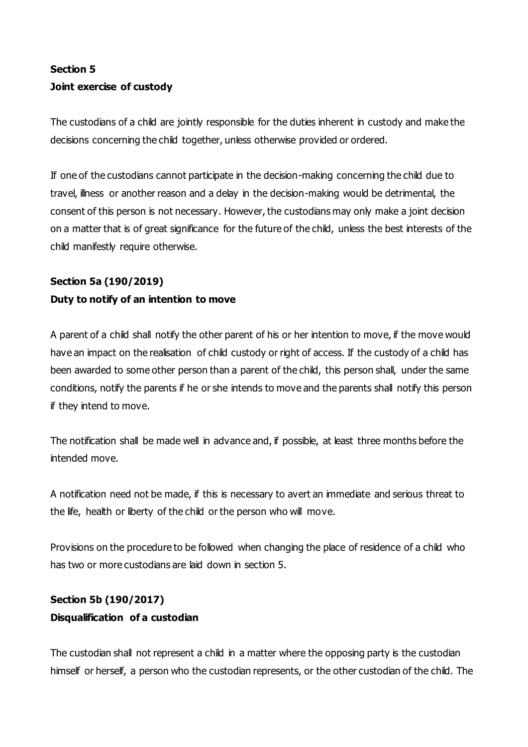# **Section 5 Joint exercise of custody**

The custodians of a child are jointly responsible for the duties inherent in custody and make the decisions concerning the child together, unless otherwise provided or ordered.

If one of the custodians cannot participate in the decision-making concerning the child due to travel, illness or another reason and a delay in the decision-making would be detrimental, the consent of this person is not necessary. However, the custodians may only make a joint decision on a matter that is of great significance for the future of the child, unless the best interests of the child manifestly require otherwise.

# **Section 5a (190/2019) Duty to notify of an intention to move**

A parent of a child shall notify the other parent of his or her intention to move, if the move would have an impact on the realisation of child custody or right of access. If the custody of a child has been awarded to some other person than a parent of the child, this person shall, under the same conditions, notify the parents if he or she intends to move and the parents shall notify this person if they intend to move.

The notification shall be made well in advance and, if possible, at least three months before the intended move.

A notification need not be made, if this is necessary to avert an immediate and serious threat to the life, health or liberty of the child or the person who will move.

Provisions on the procedure to be followed when changing the place of residence of a child who has two or more custodians are laid down in section 5.

# **Section 5b (190/2017) Disqualification of a custodian**

The custodian shall not represent a child in a matter where the opposing party is the custodian himself or herself, a person who the custodian represents, or the other custodian of the child. The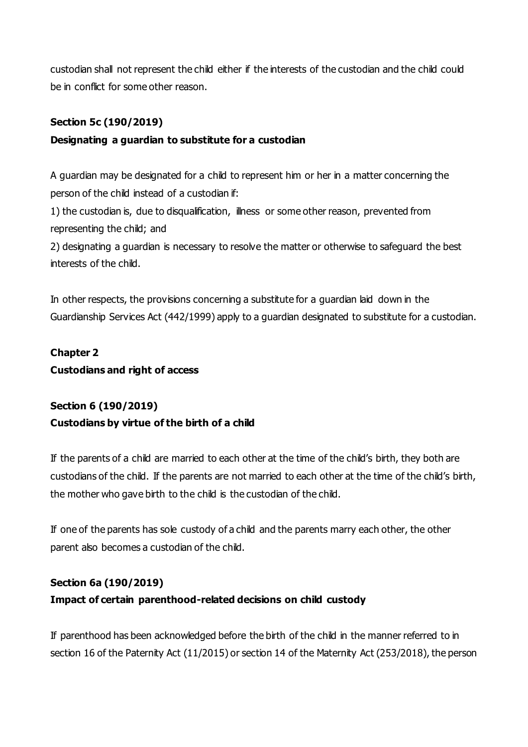custodian shall not represent the child either if the interests of the custodian and the child could be in conflict for some other reason.

### **Section 5c (190/2019)**

## **Designating a guardian to substitute for a custodian**

A guardian may be designated for a child to represent him or her in a matter concerning the person of the child instead of a custodian if:

1) the custodian is, due to disqualification, illness or some other reason, prevented from representing the child; and

2) designating a guardian is necessary to resolve the matter or otherwise to safeguard the best interests of the child.

In other respects, the provisions concerning a substitute for a guardian laid down in the Guardianship Services Act (442/1999) apply to a guardian designated to substitute for a custodian.

## **Chapter 2**

### **Custodians and right of access**

# **Section 6 (190/2019)**

### **Custodians by virtue of the birth of a child**

If the parents of a child are married to each other at the time of the child's birth, they both are custodians of the child. If the parents are not married to each other at the time of the child's birth, the mother who gave birth to the child is the custodian of the child.

If one of the parents has sole custody of a child and the parents marry each other, the other parent also becomes a custodian of the child.

## **Section 6a (190/2019) Impact of certain parenthood-related decisions on child custody**

If parenthood has been acknowledged before the birth of the child in the manner referred to in section 16 of the Paternity Act (11/2015) or section 14 of the Maternity Act (253/2018), the person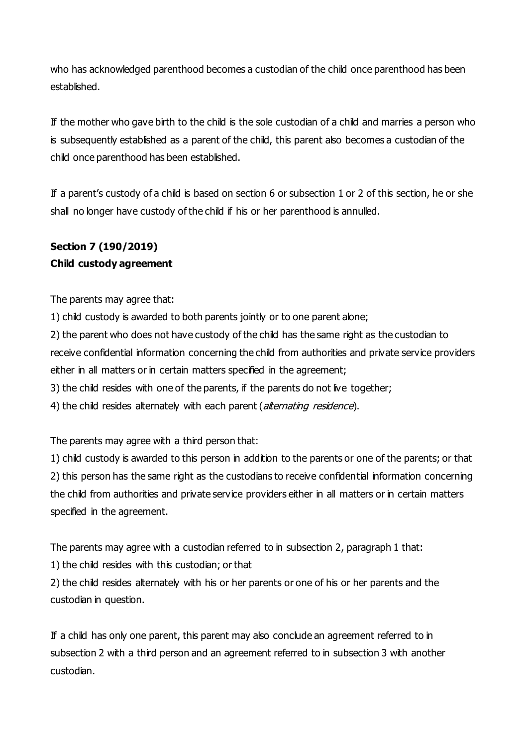who has acknowledged parenthood becomes a custodian of the child once parenthood has been established.

If the mother who gave birth to the child is the sole custodian of a child and marries a person who is subsequently established as a parent of the child, this parent also becomes a custodian of the child once parenthood has been established.

If a parent's custody of a child is based on section 6 or subsection 1 or 2 of this section, he or she shall no longer have custody of the child if his or her parenthood is annulled.

# **Section 7 (190/2019) Child custody agreement**

The parents may agree that:

1) child custody is awarded to both parents jointly or to one parent alone; 2) the parent who does not have custody of the child has the same right as the custodian to receive confidential information concerning the child from authorities and private service providers either in all matters or in certain matters specified in the agreement; 3) the child resides with one of the parents, if the parents do not live together; 4) the child resides alternately with each parent (alternating residence).

The parents may agree with a third person that:

1) child custody is awarded to this person in addition to the parents or one of the parents; or that 2) this person has the same right as the custodians to receive confidential information concerning the child from authorities and private service providers either in all matters or in certain matters specified in the agreement.

The parents may agree with a custodian referred to in subsection 2, paragraph 1 that:

1) the child resides with this custodian; or that

2) the child resides alternately with his or her parents or one of his or her parents and the custodian in question.

If a child has only one parent, this parent may also conclude an agreement referred to in subsection 2 with a third person and an agreement referred to in subsection 3 with another custodian.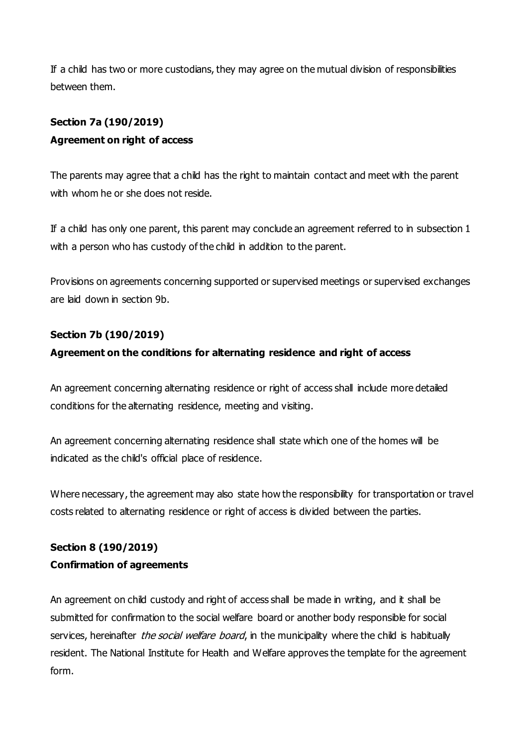If a child has two or more custodians, they may agree on the mutual division of responsibilities between them.

# **Section 7a (190/2019) Agreement on right of access**

The parents may agree that a child has the right to maintain contact and meet with the parent with whom he or she does not reside.

If a child has only one parent, this parent may conclude an agreement referred to in subsection 1 with a person who has custody of the child in addition to the parent.

Provisions on agreements concerning supported or supervised meetings or supervised exchanges are laid down in section 9b.

### **Section 7b (190/2019)**

## **Agreement on the conditions for alternating residence and right of access**

An agreement concerning alternating residence or right of access shall include more detailed conditions for the alternating residence, meeting and visiting.

An agreement concerning alternating residence shall state which one of the homes will be indicated as the child's official place of residence.

Where necessary, the agreement may also state how the responsibility for transportation or travel costs related to alternating residence or right of access is divided between the parties.

# **Section 8 (190/2019) Confirmation of agreements**

An agreement on child custody and right of access shall be made in writing, and it shall be submitted for confirmation to the social welfare board or another body responsible for social services, hereinafter *the social welfare board*, in the municipality where the child is habitually resident. The National Institute for Health and Welfare approves the template for the agreement form.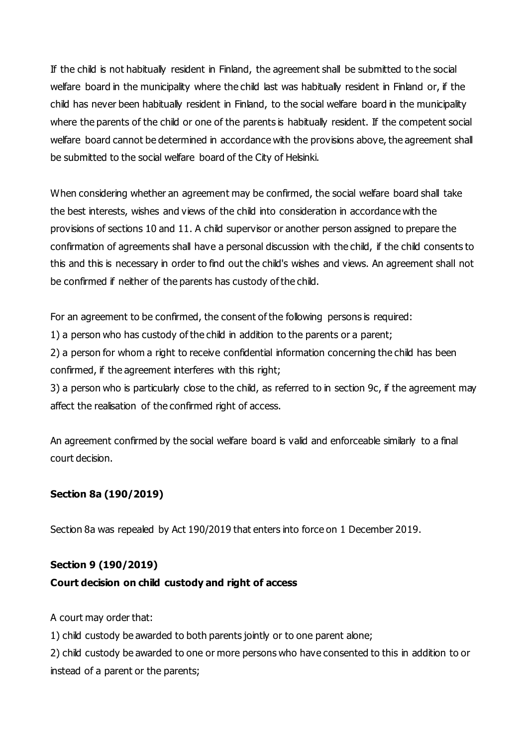If the child is not habitually resident in Finland, the agreement shall be submitted to the social welfare board in the municipality where the child last was habitually resident in Finland or, if the child has never been habitually resident in Finland, to the social welfare board in the municipality where the parents of the child or one of the parents is habitually resident. If the competent social welfare board cannot be determined in accordance with the provisions above, the agreement shall be submitted to the social welfare board of the City of Helsinki.

When considering whether an agreement may be confirmed, the social welfare board shall take the best interests, wishes and views of the child into consideration in accordance with the provisions of sections 10 and 11. A child supervisor or another person assigned to prepare the confirmation of agreements shall have a personal discussion with the child, if the child consents to this and this is necessary in order to find out the child's wishes and views. An agreement shall not be confirmed if neither of the parents has custody of the child.

For an agreement to be confirmed, the consent of the following persons is required:

1) a person who has custody of the child in addition to the parents or a parent;

2) a person for whom a right to receive confidential information concerning the child has been confirmed, if the agreement interferes with this right;

3) a person who is particularly close to the child, as referred to in section 9c, if the agreement may affect the realisation of the confirmed right of access.

An agreement confirmed by the social welfare board is valid and enforceable similarly to a final court decision.

### **Section 8a (190/2019)**

Section 8a was repealed by Act 190/2019 that enters into force on 1 December 2019.

### **Section 9 (190/2019)**

### **Court decision on child custody and right of access**

A court may order that:

1) child custody be awarded to both parents jointly or to one parent alone;

2) child custody be awarded to one or more persons who have consented to this in addition to or instead of a parent or the parents;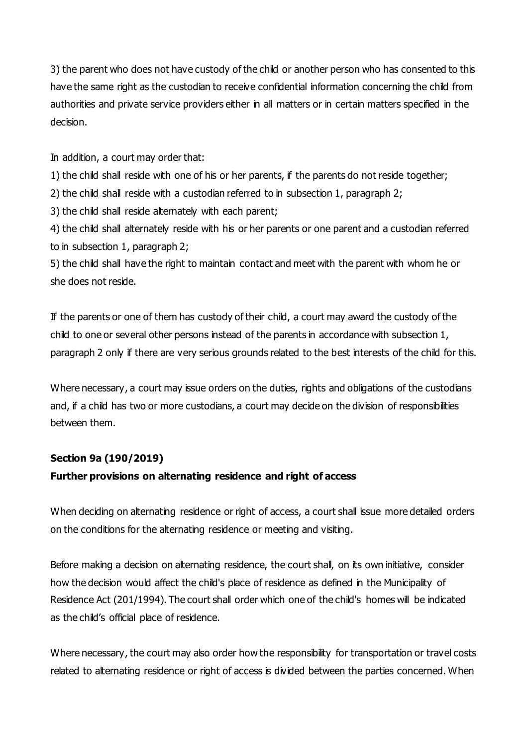3) the parent who does not have custody of the child or another person who has consented to this have the same right as the custodian to receive confidential information concerning the child from authorities and private service providers either in all matters or in certain matters specified in the decision.

In addition, a court may order that:

1) the child shall reside with one of his or her parents, if the parents do not reside together;

2) the child shall reside with a custodian referred to in subsection 1, paragraph 2;

3) the child shall reside alternately with each parent;

4) the child shall alternately reside with his or her parents or one parent and a custodian referred to in subsection 1, paragraph 2;

5) the child shall have the right to maintain contact and meet with the parent with whom he or she does not reside.

If the parents or one of them has custody of their child, a court may award the custody of the child to one or several other persons instead of the parents in accordance with subsection 1, paragraph 2 only if there are very serious grounds related to the best interests of the child for this.

Where necessary, a court may issue orders on the duties, rights and obligations of the custodians and, if a child has two or more custodians, a court may decide on the division of responsibilities between them.

#### **Section 9a (190/2019)**

#### **Further provisions on alternating residence and right of access**

When deciding on alternating residence or right of access, a court shall issue more detailed orders on the conditions for the alternating residence or meeting and visiting.

Before making a decision on alternating residence, the court shall, on its own initiative, consider how the decision would affect the child's place of residence as defined in the Municipality of Residence Act (201/1994). The court shall order which one of the child's homes will be indicated as the child's official place of residence.

Where necessary, the court may also order how the responsibility for transportation or travel costs related to alternating residence or right of access is divided between the parties concerned. When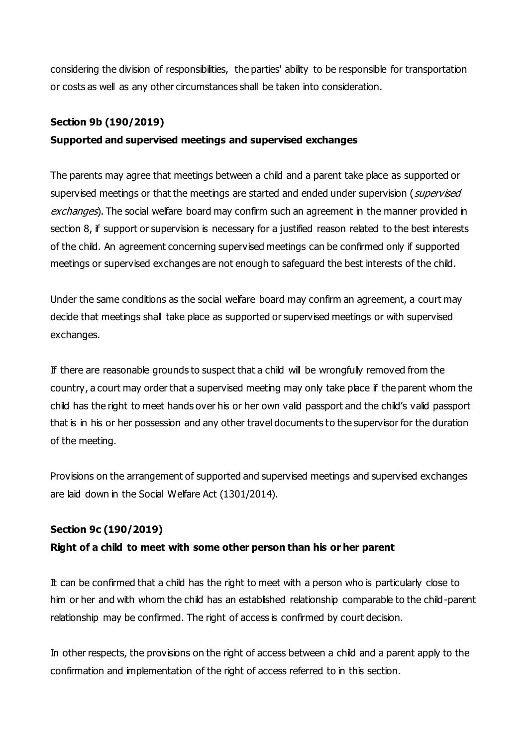considering the division of responsibilities, the parties' ability to be responsible for transportation or costs as well as any other circumstances shall be taken into consideration.

#### **Section 9b (190/2019)**

### **Supported and supervised meetings and supervised exchanges**

The parents may agree that meetings between a child and a parent take place as supported or supervised meetings or that the meetings are started and ended under supervision (supervised exchanges). The social welfare board may confirm such an agreement in the manner provided in section 8, if support or supervision is necessary for a justified reason related to the best interests of the child. An agreement concerning supervised meetings can be confirmed only if supported meetings or supervised exchanges are not enough to safeguard the best interests of the child.

Under the same conditions as the social welfare board may confirm an agreement, a court may decide that meetings shall take place as supported or supervised meetings or with supervised exchanges.

If there are reasonable grounds to suspect that a child will be wrongfully removed from the country, a court may order that a supervised meeting may only take place if the parent whom the child has the right to meet hands over his or her own valid passport and the child's valid passport that is in his or her possession and any other travel documents to the supervisor for the duration of the meeting.

Provisions on the arrangement of supported and supervised meetings and supervised exchanges are laid down in the Social Welfare Act (1301/2014).

### **Section 9c (190/2019)**

### **Right of a child to meet with some other person than his or her parent**

It can be confirmed that a child has the right to meet with a person who is particularly close to him or her and with whom the child has an established relationship comparable to the child-parent relationship may be confirmed. The right of access is confirmed by court decision.

In other respects, the provisions on the right of access between a child and a parent apply to the confirmation and implementation of the right of access referred to in this section.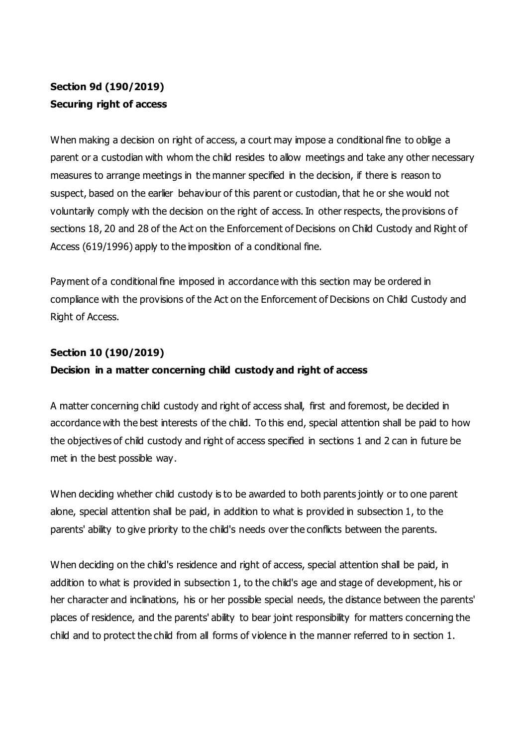# **Section 9d (190/2019) Securing right of access**

When making a decision on right of access, a court may impose a conditional fine to oblige a parent or a custodian with whom the child resides to allow meetings and take any other necessary measures to arrange meetings in the manner specified in the decision, if there is reason to suspect, based on the earlier behaviour of this parent or custodian, that he or she would not voluntarily comply with the decision on the right of access. In other respects, the provisions of sections 18, 20 and 28 of the Act on the Enforcement of Decisions on Child Custody and Right of Access (619/1996) apply to the imposition of a conditional fine.

Payment of a conditional fine imposed in accordance with this section may be ordered in compliance with the provisions of the Act on the Enforcement of Decisions on Child Custody and Right of Access.

#### **Section 10 (190/2019)**

### **Decision in a matter concerning child custody and right of access**

A matter concerning child custody and right of access shall, first and foremost, be decided in accordance with the best interests of the child. To this end, special attention shall be paid to how the objectives of child custody and right of access specified in sections 1 and 2 can in future be met in the best possible way.

When deciding whether child custody is to be awarded to both parents jointly or to one parent alone, special attention shall be paid, in addition to what is provided in subsection 1, to the parents' ability to give priority to the child's needs over the conflicts between the parents.

When deciding on the child's residence and right of access, special attention shall be paid, in addition to what is provided in subsection 1, to the child's age and stage of development, his or her character and inclinations, his or her possible special needs, the distance between the parents' places of residence, and the parents' ability to bear joint responsibility for matters concerning the child and to protect the child from all forms of violence in the manner referred to in section 1.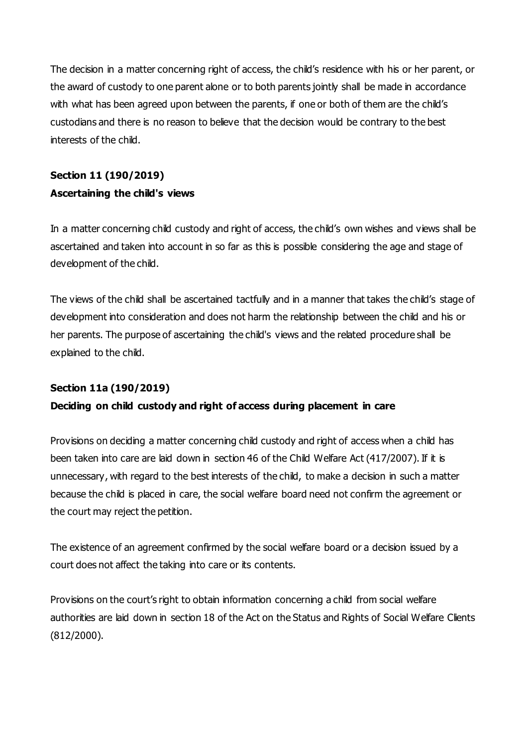The decision in a matter concerning right of access, the child's residence with his or her parent, or the award of custody to one parent alone or to both parents jointly shall be made in accordance with what has been agreed upon between the parents, if one or both of them are the child's custodians and there is no reason to believe that the decision would be contrary to the best interests of the child.

# **Section 11 (190/2019) Ascertaining the child's views**

In a matter concerning child custody and right of access, the child's own wishes and views shall be ascertained and taken into account in so far as this is possible considering the age and stage of development of the child.

The views of the child shall be ascertained tactfully and in a manner that takes the child's stage of development into consideration and does not harm the relationship between the child and his or her parents. The purpose of ascertaining the child's views and the related procedure shall be explained to the child.

### **Section 11a (190/2019)**

### **Deciding on child custody and right of access during placement in care**

Provisions on deciding a matter concerning child custody and right of access when a child has been taken into care are laid down in section 46 of the Child Welfare Act (417/2007). If it is unnecessary, with regard to the best interests of the child, to make a decision in such a matter because the child is placed in care, the social welfare board need not confirm the agreement or the court may reject the petition.

The existence of an agreement confirmed by the social welfare board or a decision issued by a court does not affect the taking into care or its contents.

Provisions on the court's right to obtain information concerning a child from social welfare authorities are laid down in section 18 of the Act on the Status and Rights of Social Welfare Clients (812/2000).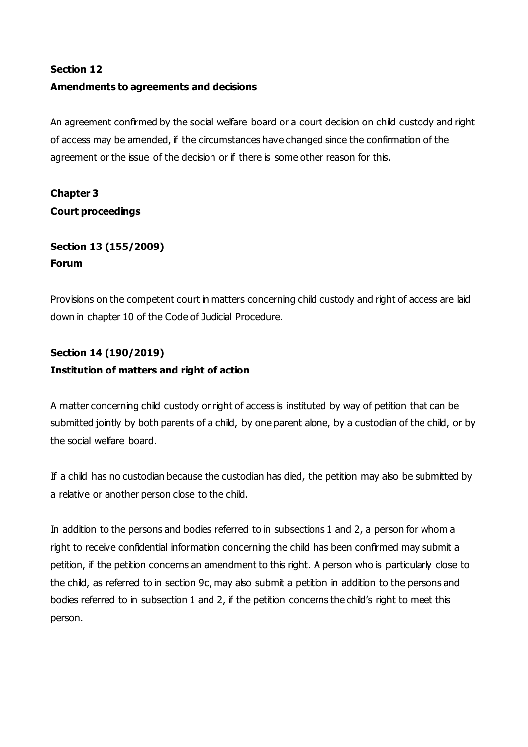#### **Section 12**

#### **Amendments to agreements and decisions**

An agreement confirmed by the social welfare board or a court decision on child custody and right of access may be amended, if the circumstances have changed since the confirmation of the agreement or the issue of the decision or if there is some other reason for this.

# **Chapter 3 Court proceedings**

## **Section 13 (155/2009) Forum**

Provisions on the competent court in matters concerning child custody and right of access are laid down in chapter 10 of the Code of Judicial Procedure.

# **Section 14 (190/2019) Institution of matters and right of action**

A matter concerning child custody or right of access is instituted by way of petition that can be submitted jointly by both parents of a child, by one parent alone, by a custodian of the child, or by the social welfare board.

If a child has no custodian because the custodian has died, the petition may also be submitted by a relative or another person close to the child.

In addition to the persons and bodies referred to in subsections 1 and 2, a person for whom a right to receive confidential information concerning the child has been confirmed may submit a petition, if the petition concerns an amendment to this right. A person who is particularly close to the child, as referred to in section 9c, may also submit a petition in addition to the persons and bodies referred to in subsection 1 and 2, if the petition concerns the child's right to meet this person.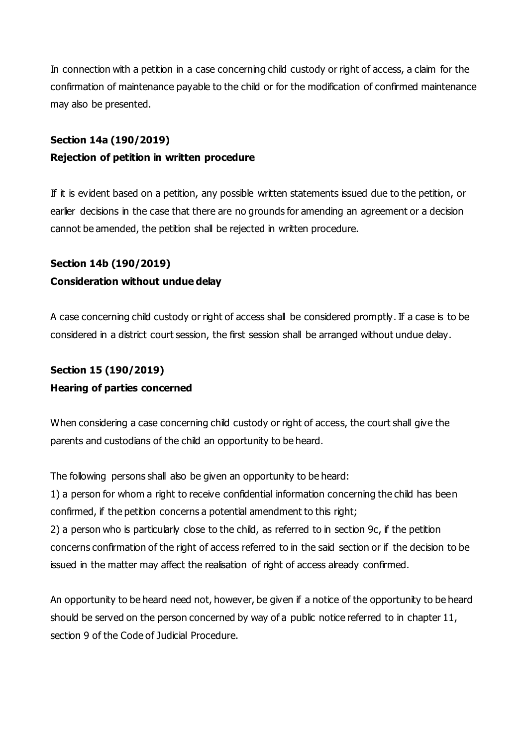In connection with a petition in a case concerning child custody or right of access, a claim for the confirmation of maintenance payable to the child or for the modification of confirmed maintenance may also be presented.

### **Section 14a (190/2019)**

#### **Rejection of petition in written procedure**

If it is evident based on a petition, any possible written statements issued due to the petition, or earlier decisions in the case that there are no grounds for amending an agreement or a decision cannot be amended, the petition shall be rejected in written procedure.

# **Section 14b (190/2019)**

### **Consideration without undue delay**

A case concerning child custody or right of access shall be considered promptly. If a case is to be considered in a district court session, the first session shall be arranged without undue delay.

# **Section 15 (190/2019) Hearing of parties concerned**

When considering a case concerning child custody or right of access, the court shall give the parents and custodians of the child an opportunity to be heard.

The following persons shall also be given an opportunity to be heard:

1) a person for whom a right to receive confidential information concerning the child has been confirmed, if the petition concerns a potential amendment to this right;

2) a person who is particularly close to the child, as referred to in section 9c, if the petition concerns confirmation of the right of access referred to in the said section or if the decision to be issued in the matter may affect the realisation of right of access already confirmed.

An opportunity to be heard need not, however, be given if a notice of the opportunity to be heard should be served on the person concerned by way of a public notice referred to in chapter 11, section 9 of the Code of Judicial Procedure.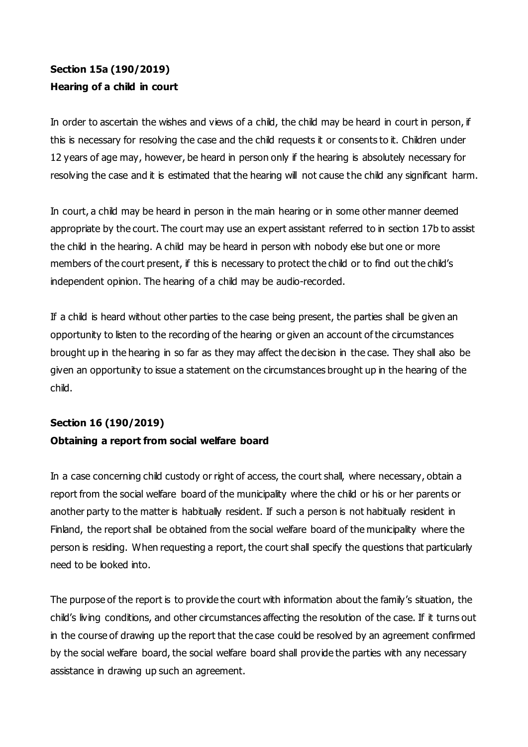# **Section 15a (190/2019) Hearing of a child in court**

In order to ascertain the wishes and views of a child, the child may be heard in court in person, if this is necessary for resolving the case and the child requests it or consents to it. Children under 12 years of age may, however, be heard in person only if the hearing is absolutely necessary for resolving the case and it is estimated that the hearing will not cause the child any significant harm.

In court, a child may be heard in person in the main hearing or in some other manner deemed appropriate by the court. The court may use an expert assistant referred to in section 17b to assist the child in the hearing. A child may be heard in person with nobody else but one or more members of the court present, if this is necessary to protect the child or to find out the child's independent opinion. The hearing of a child may be audio-recorded.

If a child is heard without other parties to the case being present, the parties shall be given an opportunity to listen to the recording of the hearing or given an account of the circumstances brought up in the hearing in so far as they may affect the decision in the case. They shall also be given an opportunity to issue a statement on the circumstances brought up in the hearing of the child.

# **Section 16 (190/2019) Obtaining a report from social welfare board**

In a case concerning child custody or right of access, the court shall, where necessary, obtain a report from the social welfare board of the municipality where the child or his or her parents or another party to the matter is habitually resident. If such a person is not habitually resident in Finland, the report shall be obtained from the social welfare board of the municipality where the person is residing. When requesting a report, the court shall specify the questions that particularly need to be looked into.

The purpose of the report is to provide the court with information about the family's situation, the child's living conditions, and other circumstances affecting the resolution of the case. If it turns out in the course of drawing up the report that the case could be resolved by an agreement confirmed by the social welfare board, the social welfare board shall provide the parties with any necessary assistance in drawing up such an agreement.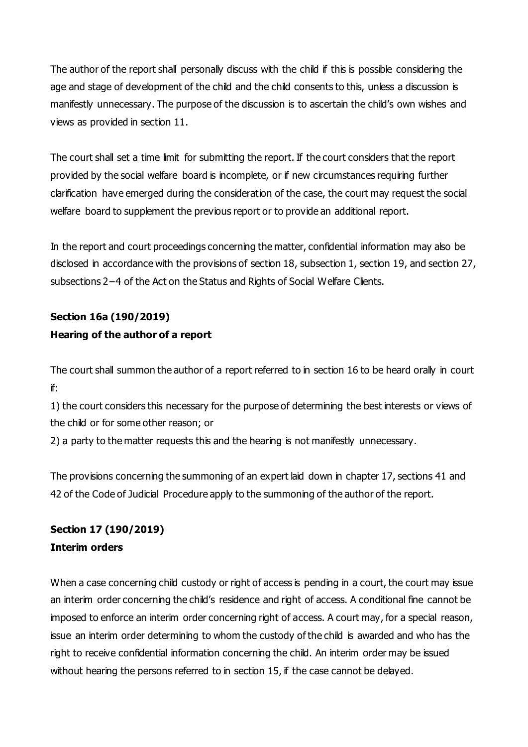The author of the report shall personally discuss with the child if this is possible considering the age and stage of development of the child and the child consents to this, unless a discussion is manifestly unnecessary. The purpose of the discussion is to ascertain the child's own wishes and views as provided in section 11.

The court shall set a time limit for submitting the report. If the court considers that the report provided by the social welfare board is incomplete, or if new circumstances requiring further clarification have emerged during the consideration of the case, the court may request the social welfare board to supplement the previous report or to provide an additional report.

In the report and court proceedings concerning the matter, confidential information may also be disclosed in accordance with the provisions of section 18, subsection 1, section 19, and section 27, subsections 2−4 of the Act on the Status and Rights of Social Welfare Clients.

# **Section 16a (190/2019) Hearing of the author of a report**

The court shall summon the author of a report referred to in section 16 to be heard orally in court if:

1) the court considers this necessary for the purpose of determining the best interests or views of the child or for some other reason; or

2) a party to the matter requests this and the hearing is not manifestly unnecessary.

The provisions concerning the summoning of an expert laid down in chapter 17, sections 41 and 42 of the Code of Judicial Procedure apply to the summoning of the author of the report.

## **Section 17 (190/2019) Interim orders**

When a case concerning child custody or right of access is pending in a court, the court may issue an interim order concerning the child's residence and right of access. A conditional fine cannot be imposed to enforce an interim order concerning right of access. A court may, for a special reason, issue an interim order determining to whom the custody of the child is awarded and who has the right to receive confidential information concerning the child. An interim order may be issued without hearing the persons referred to in section 15, if the case cannot be delayed.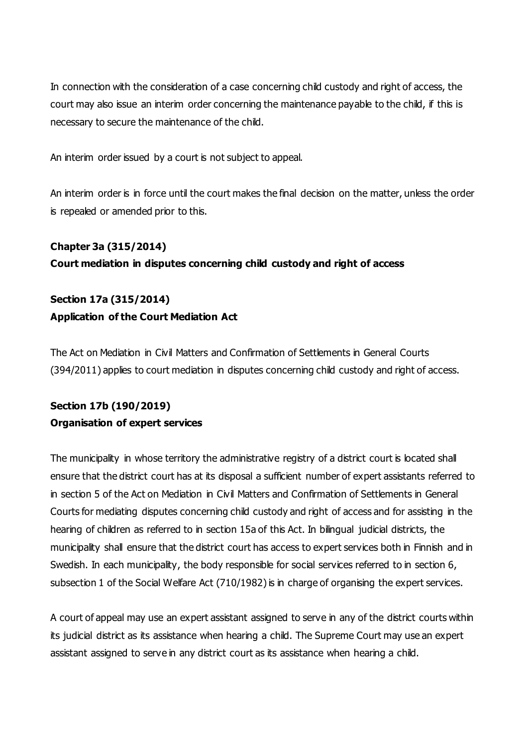In connection with the consideration of a case concerning child custody and right of access, the court may also issue an interim order concerning the maintenance payable to the child, if this is necessary to secure the maintenance of the child.

An interim order issued by a court is not subject to appeal.

An interim order is in force until the court makes the final decision on the matter, unless the order is repealed or amended prior to this.

# **Chapter 3a (315/2014) Court mediation in disputes concerning child custody and right of access**

## **Section 17a (315/2014) Application of the Court Mediation Act**

The Act on Mediation in Civil Matters and Confirmation of Settlements in General Courts (394/2011) applies to court mediation in disputes concerning child custody and right of access.

# **Section 17b (190/2019) Organisation of expert services**

The municipality in whose territory the administrative registry of a district court is located shall ensure that the district court has at its disposal a sufficient number of expert assistants referred to in section 5 of the Act on Mediation in Civil Matters and Confirmation of Settlements in General Courts for mediating disputes concerning child custody and right of access and for assisting in the hearing of children as referred to in section 15a of this Act. In bilingual judicial districts, the municipality shall ensure that the district court has access to expert services both in Finnish and in Swedish. In each municipality, the body responsible for social services referred to in section 6, subsection 1 of the Social Welfare Act (710/1982) is in charge of organising the expert services.

A court of appeal may use an expert assistant assigned to serve in any of the district courts within its judicial district as its assistance when hearing a child. The Supreme Court may use an expert assistant assigned to serve in any district court as its assistance when hearing a child.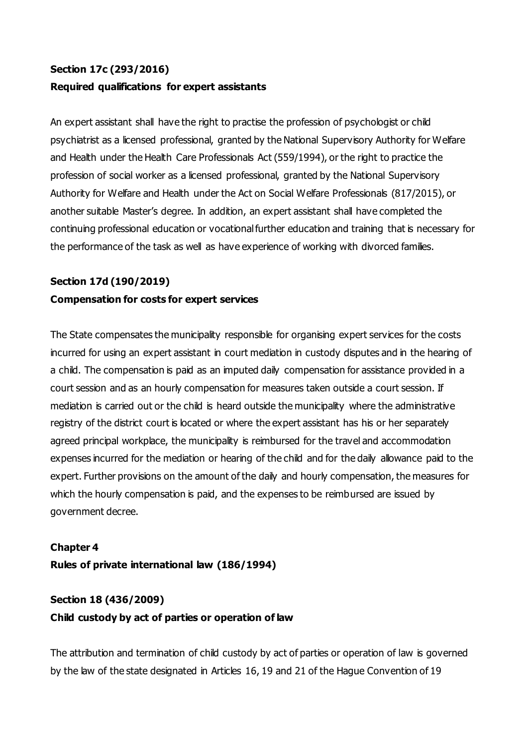# **Section 17c (293/2016) Required qualifications for expert assistants**

An expert assistant shall have the right to practise the profession of psychologist or child psychiatrist as a licensed professional, granted by the National Supervisory Authority for Welfare and Health under the Health Care Professionals Act (559/1994), or the right to practice the profession of social worker as a licensed professional, granted by the National Supervisory Authority for Welfare and Health under the Act on Social Welfare Professionals (817/2015), or another suitable Master's degree. In addition, an expert assistant shall have completed the continuing professional education or vocational further education and training that is necessary for the performance of the task as well as have experience of working with divorced families.

### **Section 17d (190/2019)**

#### **Compensation for costs for expert services**

The State compensates the municipality responsible for organising expert services for the costs incurred for using an expert assistant in court mediation in custody disputes and in the hearing of a child. The compensation is paid as an imputed daily compensation for assistance provided in a court session and as an hourly compensation for measures taken outside a court session. If mediation is carried out or the child is heard outside the municipality where the administrative registry of the district court is located or where the expert assistant has his or her separately agreed principal workplace, the municipality is reimbursed for the travel and accommodation expenses incurred for the mediation or hearing of the child and for the daily allowance paid to the expert. Further provisions on the amount of the daily and hourly compensation, the measures for which the hourly compensation is paid, and the expenses to be reimbursed are issued by government decree.

# **Chapter 4 Rules of private international law (186/1994)**

# **Section 18 (436/2009) Child custody by act of parties or operation of law**

The attribution and termination of child custody by act of parties or operation of law is governed by the law of the state designated in Articles 16, 19 and 21 of the Hague Convention of 19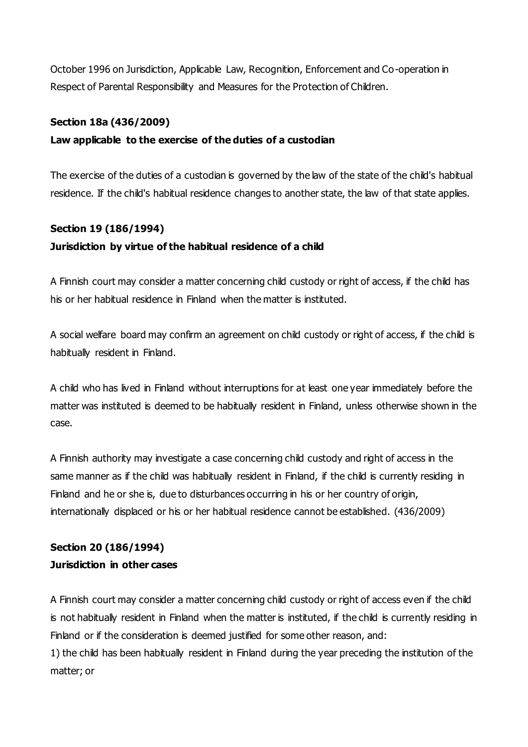October 1996 on Jurisdiction, Applicable Law, Recognition, Enforcement and Co-operation in Respect of Parental Responsibility and Measures for the Protection of Children.

#### **Section 18a (436/2009)**

#### **Law applicable to the exercise of the duties of a custodian**

The exercise of the duties of a custodian is governed by the law of the state of the child's habitual residence. If the child's habitual residence changes to another state, the law of that state applies.

# **Section 19 (186/1994) Jurisdiction by virtue of the habitual residence of a child**

A Finnish court may consider a matter concerning child custody or right of access, if the child has his or her habitual residence in Finland when the matter is instituted.

A social welfare board may confirm an agreement on child custody or right of access, if the child is habitually resident in Finland.

A child who has lived in Finland without interruptions for at least one year immediately before the matter was instituted is deemed to be habitually resident in Finland, unless otherwise shown in the case.

A Finnish authority may investigate a case concerning child custody and right of access in the same manner as if the child was habitually resident in Finland, if the child is currently residing in Finland and he or she is, due to disturbances occurring in his or her country of origin, internationally displaced or his or her habitual residence cannot be established. (436/2009)

## **Section 20 (186/1994) Jurisdiction in other cases**

matter; or

A Finnish court may consider a matter concerning child custody or right of access even if the child is not habitually resident in Finland when the matter is instituted, if the child is currently residing in Finland or if the consideration is deemed justified for some other reason, and: 1) the child has been habitually resident in Finland during the year preceding the institution of the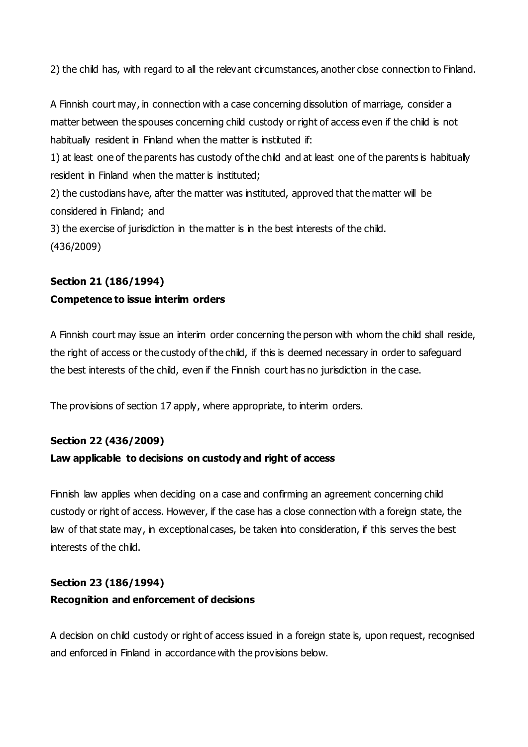2) the child has, with regard to all the relevant circumstances, another close connection to Finland.

A Finnish court may, in connection with a case concerning dissolution of marriage, consider a matter between the spouses concerning child custody or right of access even if the child is not habitually resident in Finland when the matter is instituted if:

1) at least one of the parents has custody of the child and at least one of the parents is habitually resident in Finland when the matter is instituted;

2) the custodians have, after the matter was instituted, approved that the matter will be considered in Finland; and

3) the exercise of jurisdiction in the matter is in the best interests of the child. (436/2009)

#### **Section 21 (186/1994)**

#### **Competence to issue interim orders**

A Finnish court may issue an interim order concerning the person with whom the child shall reside, the right of access or the custody of the child, if this is deemed necessary in order to safeguard the best interests of the child, even if the Finnish court has no jurisdiction in the c ase.

The provisions of section 17 apply, where appropriate, to interim orders.

### **Section 22 (436/2009)**

### **Law applicable to decisions on custody and right of access**

Finnish law applies when deciding on a case and confirming an agreement concerning child custody or right of access. However, if the case has a close connection with a foreign state, the law of that state may, in exceptional cases, be taken into consideration, if this serves the best interests of the child.

# **Section 23 (186/1994) Recognition and enforcement of decisions**

A decision on child custody or right of access issued in a foreign state is, upon request, recognised and enforced in Finland in accordance with the provisions below.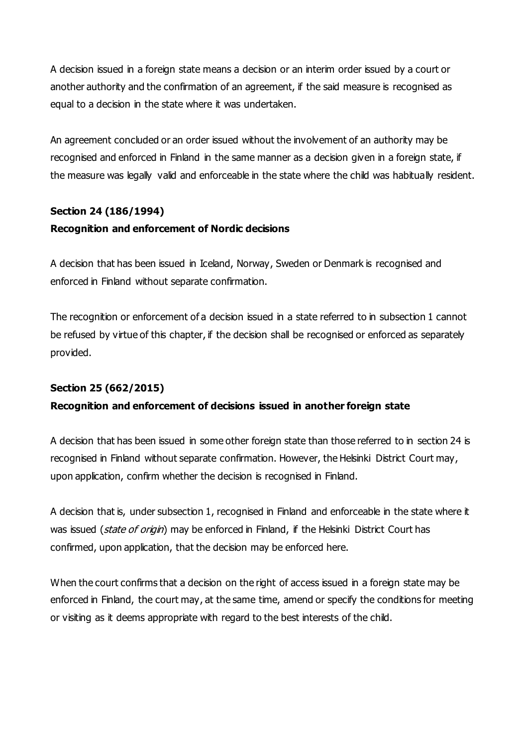A decision issued in a foreign state means a decision or an interim order issued by a court or another authority and the confirmation of an agreement, if the said measure is recognised as equal to a decision in the state where it was undertaken.

An agreement concluded or an order issued without the involvement of an authority may be recognised and enforced in Finland in the same manner as a decision given in a foreign state, if the measure was legally valid and enforceable in the state where the child was habitually resident.

# **Section 24 (186/1994)**

### **Recognition and enforcement of Nordic decisions**

A decision that has been issued in Iceland, Norway, Sweden or Denmark is recognised and enforced in Finland without separate confirmation.

The recognition or enforcement of a decision issued in a state referred to in subsection 1 cannot be refused by virtue of this chapter, if the decision shall be recognised or enforced as separately provided.

### **Section 25 (662/2015)**

### **Recognition and enforcement of decisions issued in another foreign state**

A decision that has been issued in some other foreign state than those referred to in section 24 is recognised in Finland without separate confirmation. However, the Helsinki District Court may, upon application, confirm whether the decision is recognised in Finland.

A decision that is, under subsection 1, recognised in Finland and enforceable in the state where it was issued (state of origin) may be enforced in Finland, if the Helsinki District Court has confirmed, upon application, that the decision may be enforced here.

When the court confirms that a decision on the right of access issued in a foreign state may be enforced in Finland, the court may, at the same time, amend or specify the conditions for meeting or visiting as it deems appropriate with regard to the best interests of the child.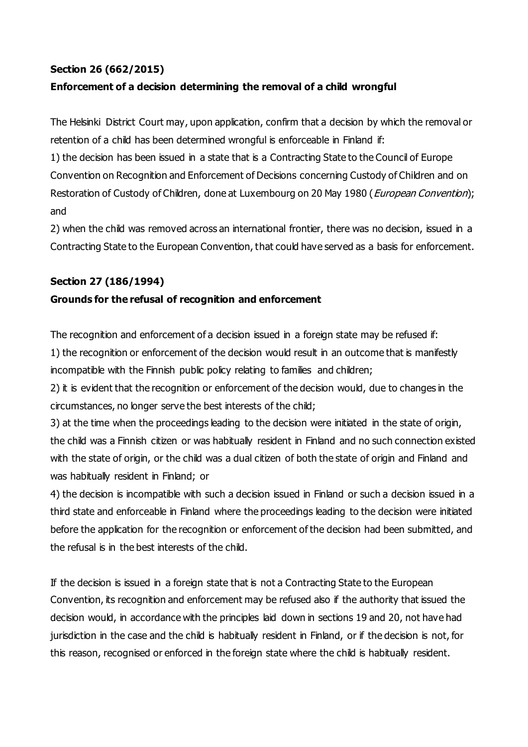#### **Section 26 (662/2015)**

### **Enforcement of a decision determining the removal of a child wrongful**

The Helsinki District Court may, upon application, confirm that a decision by which the removal or retention of a child has been determined wrongful is enforceable in Finland if:

1) the decision has been issued in a state that is a Contracting State to the Council of Europe Convention on Recognition and Enforcement of Decisions concerning Custody of Children and on Restoration of Custody of Children, done at Luxembourg on 20 May 1980 (*European Convention*); and

2) when the child was removed across an international frontier, there was no decision, issued in a Contracting State to the European Convention, that could have served as a basis for enforcement.

#### **Section 27 (186/1994)**

#### **Grounds for the refusal of recognition and enforcement**

The recognition and enforcement of a decision issued in a foreign state may be refused if: 1) the recognition or enforcement of the decision would result in an outcome that is manifestly incompatible with the Finnish public policy relating to families and children;

2) it is evident that the recognition or enforcement of the decision would, due to changes in the circumstances, no longer serve the best interests of the child;

3) at the time when the proceedings leading to the decision were initiated in the state of origin, the child was a Finnish citizen or was habitually resident in Finland and no such connection existed with the state of origin, or the child was a dual citizen of both the state of origin and Finland and was habitually resident in Finland; or

4) the decision is incompatible with such a decision issued in Finland or such a decision issued in a third state and enforceable in Finland where the proceedings leading to the decision were initiated before the application for the recognition or enforcement of the decision had been submitted, and the refusal is in the best interests of the child.

If the decision is issued in a foreign state that is not a Contracting State to the European Convention, its recognition and enforcement may be refused also if the authority that issued the decision would, in accordance with the principles laid down in sections 19 and 20, not have had jurisdiction in the case and the child is habitually resident in Finland, or if the decision is not, for this reason, recognised or enforced in the foreign state where the child is habitually resident.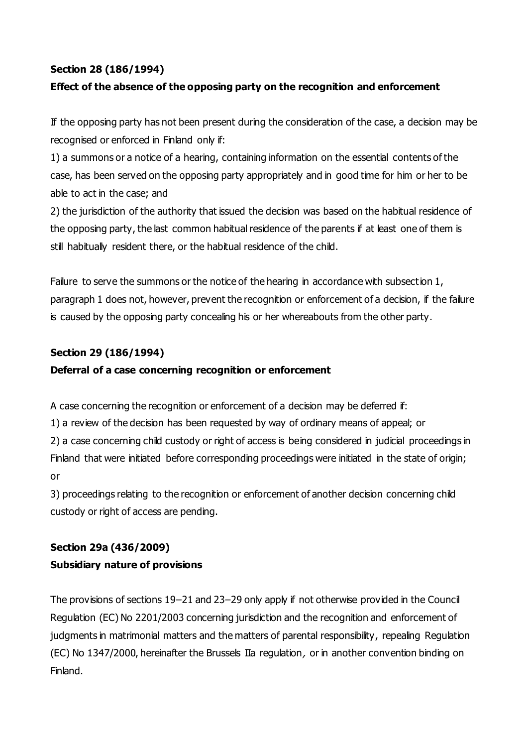### **Section 28 (186/1994)**

## **Effect of the absence of the opposing party on the recognition and enforcement**

If the opposing party has not been present during the consideration of the case, a decision may be recognised or enforced in Finland only if:

1) a summons or a notice of a hearing, containing information on the essential contents of the case, has been served on the opposing party appropriately and in good time for him or her to be able to act in the case; and

2) the jurisdiction of the authority that issued the decision was based on the habitual residence of the opposing party, the last common habitual residence of the parents if at least one of them is still habitually resident there, or the habitual residence of the child.

Failure to serve the summons or the notice of the hearing in accordance with subsection 1, paragraph 1 does not, however, prevent the recognition or enforcement of a decision, if the failure is caused by the opposing party concealing his or her whereabouts from the other party.

### **Section 29 (186/1994)**

#### **Deferral of a case concerning recognition or enforcement**

A case concerning the recognition or enforcement of a decision may be deferred if:

1) a review of the decision has been requested by way of ordinary means of appeal; or

2) a case concerning child custody or right of access is being considered in judicial proceedings in Finland that were initiated before corresponding proceedings were initiated in the state of origin; or

3) proceedings relating to the recognition or enforcement of another decision concerning child custody or right of access are pending.

# **Section 29a (436/2009)**

#### **Subsidiary nature of provisions**

The provisions of sections 19–21 and 23–29 only apply if not otherwise provided in the Council Regulation (EC) No 2201/2003 concerning jurisdiction and the recognition and enforcement of judgments in matrimonial matters and the matters of parental responsibility, repealing Regulation (EC) No 1347/2000, hereinafter the Brussels IIa regulation, or in another convention binding on Finland.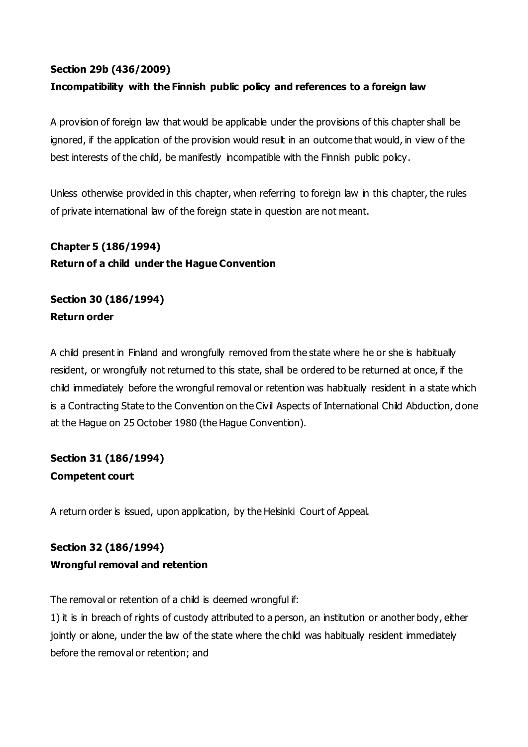#### **Section 29b (436/2009)**

### **Incompatibility with the Finnish public policy and references to a foreign law**

A provision of foreign law that would be applicable under the provisions of this chapter shall be ignored, if the application of the provision would result in an outcome that would, in view of the best interests of the child, be manifestly incompatible with the Finnish public policy.

Unless otherwise provided in this chapter, when referring to foreign law in this chapter, the rules of private international law of the foreign state in question are not meant.

**Chapter 5 (186/1994) Return of a child under the Hague Convention**

**Section 30 (186/1994) Return order**

A child present in Finland and wrongfully removed from the state where he or she is habitually resident, or wrongfully not returned to this state, shall be ordered to be returned at once, if the child immediately before the wrongful removal or retention was habitually resident in a state which is a Contracting State to the Convention on the Civil Aspects of International Child Abduction, done at the Hague on 25 October 1980 (the Hague Convention).

# **Section 31 (186/1994) Competent court**

A return order is issued, upon application, by the Helsinki Court of Appeal.

# **Section 32 (186/1994) Wrongful removal and retention**

The removal or retention of a child is deemed wrongful if:

1) it is in breach of rights of custody attributed to a person, an institution or another body, either jointly or alone, under the law of the state where the child was habitually resident immediately before the removal or retention; and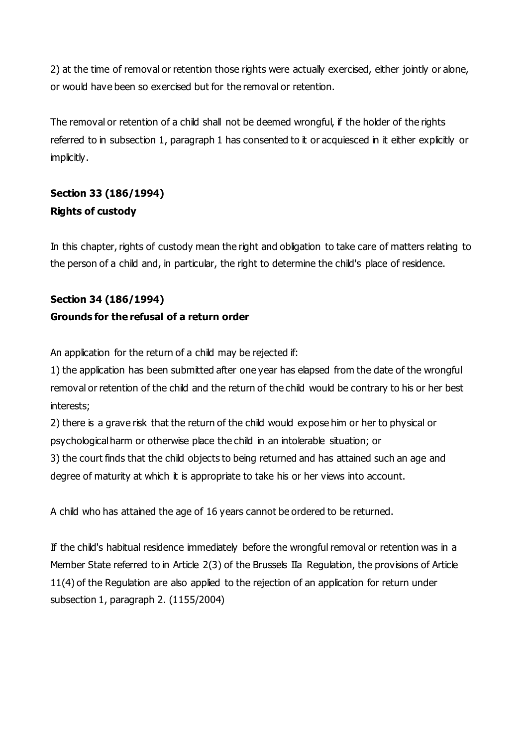2) at the time of removal or retention those rights were actually exercised, either jointly or alone, or would have been so exercised but for the removal or retention.

The removal or retention of a child shall not be deemed wrongful, if the holder of the rights referred to in subsection 1, paragraph 1 has consented to it or acquiesced in it either explicitly or implicitly.

# **Section 33 (186/1994) Rights of custody**

In this chapter, rights of custody mean the right and obligation to take care of matters relating to the person of a child and, in particular, the right to determine the child's place of residence.

# **Section 34 (186/1994)**

## **Grounds for the refusal of a return order**

An application for the return of a child may be rejected if:

1) the application has been submitted after one year has elapsed from the date of the wrongful removal or retention of the child and the return of the child would be contrary to his or her best interests;

2) there is a grave risk that the return of the child would expose him or her to physical or psychological harm or otherwise place the child in an intolerable situation; or

3) the court finds that the child objects to being returned and has attained such an age and degree of maturity at which it is appropriate to take his or her views into account.

A child who has attained the age of 16 years cannot be ordered to be returned.

If the child's habitual residence immediately before the wrongful removal or retention was in a Member State referred to in Article 2(3) of the Brussels IIa Regulation, the provisions of Article 11(4) of the Regulation are also applied to the rejection of an application for return under subsection 1, paragraph 2. (1155/2004)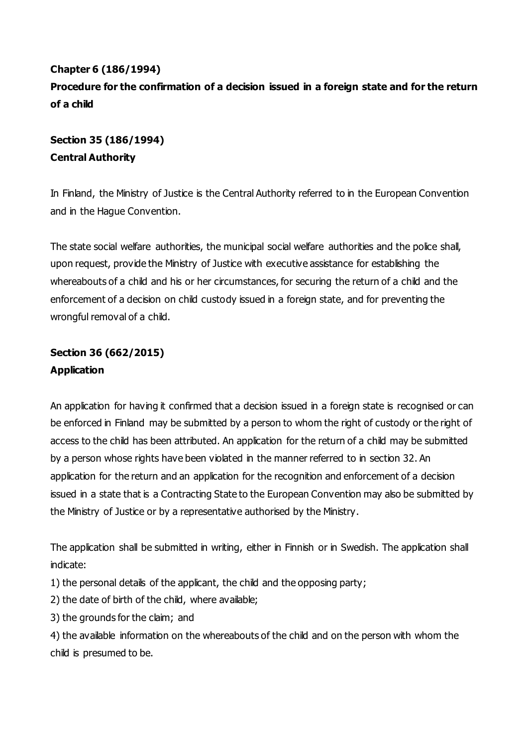# **Chapter 6 (186/1994) Procedure for the confirmation of a decision issued in a foreign state and for the return of a child**

# **Section 35 (186/1994) Central Authority**

In Finland, the Ministry of Justice is the Central Authority referred to in the European Convention and in the Hague Convention.

The state social welfare authorities, the municipal social welfare authorities and the police shall, upon request, provide the Ministry of Justice with executive assistance for establishing the whereabouts of a child and his or her circumstances, for securing the return of a child and the enforcement of a decision on child custody issued in a foreign state, and for preventing the wrongful removal of a child.

# **Section 36 (662/2015) Application**

An application for having it confirmed that a decision issued in a foreign state is recognised or can be enforced in Finland may be submitted by a person to whom the right of custody or the right of access to the child has been attributed. An application for the return of a child may be submitted by a person whose rights have been violated in the manner referred to in section 32. An application for the return and an application for the recognition and enforcement of a decision issued in a state that is a Contracting State to the European Convention may also be submitted by the Ministry of Justice or by a representative authorised by the Ministry.

The application shall be submitted in writing, either in Finnish or in Swedish. The application shall indicate:

1) the personal details of the applicant, the child and the opposing party;

2) the date of birth of the child, where available;

3) the grounds for the claim; and

4) the available information on the whereabouts of the child and on the person with whom the child is presumed to be.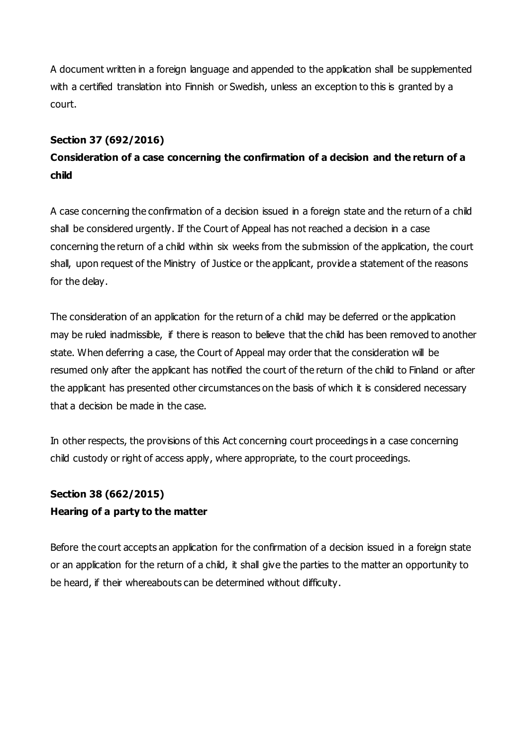A document written in a foreign language and appended to the application shall be supplemented with a certified translation into Finnish or Swedish, unless an exception to this is granted by a court.

### **Section 37 (692/2016)**

# **Consideration of a case concerning the confirmation of a decision and the return of a child**

A case concerning the confirmation of a decision issued in a foreign state and the return of a child shall be considered urgently. If the Court of Appeal has not reached a decision in a case concerning the return of a child within six weeks from the submission of the application, the court shall, upon request of the Ministry of Justice or the applicant, provide a statement of the reasons for the delay.

The consideration of an application for the return of a child may be deferred or the application may be ruled inadmissible, if there is reason to believe that the child has been removed to another state. When deferring a case, the Court of Appeal may order that the consideration will be resumed only after the applicant has notified the court of the return of the child to Finland or after the applicant has presented other circumstances on the basis of which it is considered necessary that a decision be made in the case.

In other respects, the provisions of this Act concerning court proceedings in a case concerning child custody or right of access apply, where appropriate, to the court proceedings.

# **Section 38 (662/2015) Hearing of a party to the matter**

Before the court accepts an application for the confirmation of a decision issued in a foreign state or an application for the return of a child, it shall give the parties to the matter an opportunity to be heard, if their whereabouts can be determined without difficulty.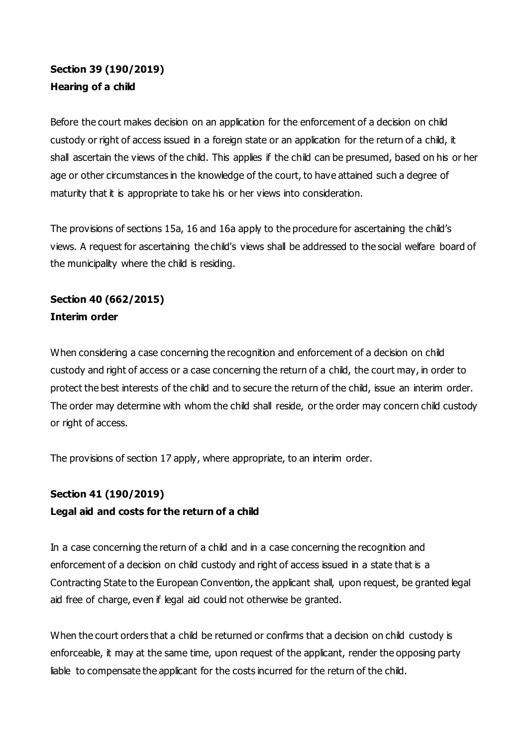# **Section 39 (190/2019) Hearing of a child**

Before the court makes decision on an application for the enforcement of a decision on child custody or right of access issued in a foreign state or an application for the return of a child, it shall ascertain the views of the child. This applies if the child can be presumed, based on his or her age or other circumstances in the knowledge of the court, to have attained such a degree of maturity that it is appropriate to take his or her views into consideration.

The provisions of sections 15a, 16 and 16a apply to the procedure for ascertaining the child's views. A request for ascertaining the child's views shall be addressed to the social welfare board of the municipality where the child is residing.

## **Section 40 (662/2015) Interim order**

When considering a case concerning the recognition and enforcement of a decision on child custody and right of access or a case concerning the return of a child, the court may, in order to protect the best interests of the child and to secure the return of the child, issue an interim order. The order may determine with whom the child shall reside, or the order may concern child custody or right of access.

The provisions of section 17 apply, where appropriate, to an interim order.

### **Section 41 (190/2019)**

### **Legal aid and costs for the return of a child**

In a case concerning the return of a child and in a case concerning the recognition and enforcement of a decision on child custody and right of access issued in a state that is a Contracting State to the European Convention, the applicant shall, upon request, be granted legal aid free of charge, even if legal aid could not otherwise be granted.

When the court orders that a child be returned or confirms that a decision on child custody is enforceable, it may at the same time, upon request of the applicant, render the opposing party liable to compensate the applicant for the costs incurred for the return of the child.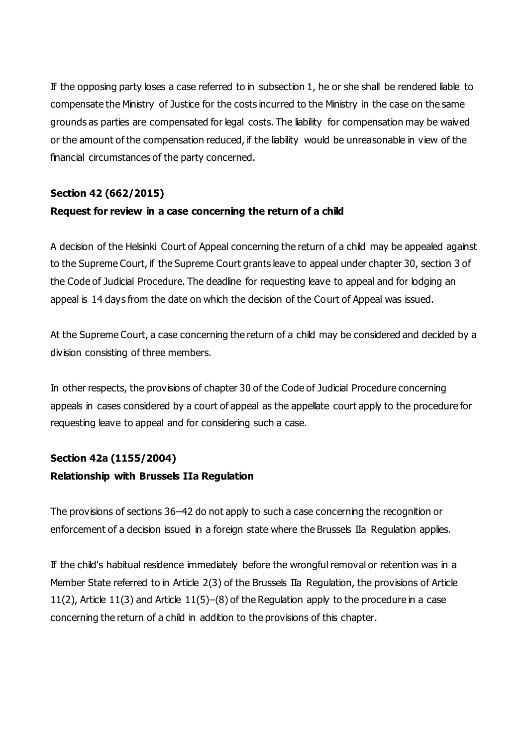If the opposing party loses a case referred to in subsection 1, he or she shall be rendered liable to compensate the Ministry of Justice for the costs incurred to the Ministry in the case on the same grounds as parties are compensated for legal costs. The liability for compensation may be waived or the amount of the compensation reduced, if the liability would be unreasonable in view of the financial circumstances of the party concerned.

### **Section 42 (662/2015)**

#### **Request for review in a case concerning the return of a child**

A decision of the Helsinki Court of Appeal concerning the return of a child may be appealed against to the Supreme Court, if the Supreme Court grants leave to appeal under chapter 30, section 3 of the Code of Judicial Procedure. The deadline for requesting leave to appeal and for lodging an appeal is 14 days from the date on which the decision of the Court of Appeal was issued.

At the Supreme Court, a case concerning the return of a child may be considered and decided by a division consisting of three members.

In other respects, the provisions of chapter 30 of the Code of Judicial Procedure concerning appeals in cases considered by a court of appeal as the appellate court apply to the procedure for requesting leave to appeal and for considering such a case.

#### **Section 42a (1155/2004)**

#### **Relationship with Brussels IIa Regulation**

The provisions of sections 36–42 do not apply to such a case concerning the recognition or enforcement of a decision issued in a foreign state where the Brussels IIa Regulation applies.

If the child's habitual residence immediately before the wrongful removal or retention was in a Member State referred to in Article 2(3) of the Brussels IIa Regulation, the provisions of Article 11(2), Article 11(3) and Article 11(5)–(8) of the Regulation apply to the procedure in a case concerning the return of a child in addition to the provisions of this chapter.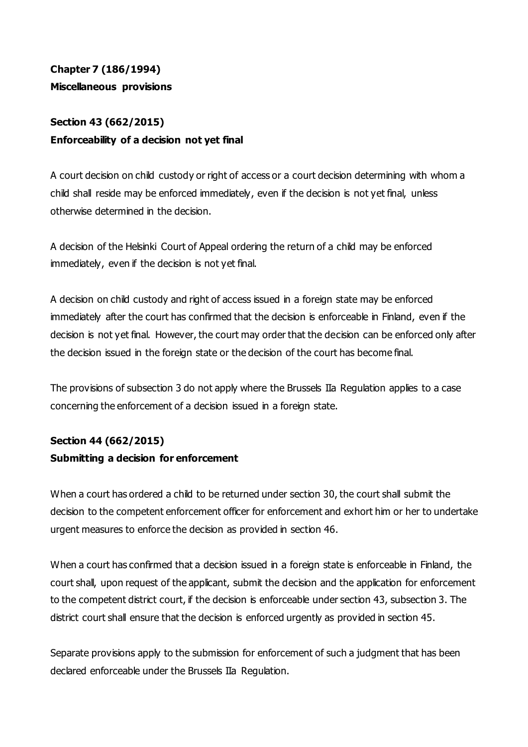# **Chapter 7 (186/1994) Miscellaneous provisions**

# **Section 43 (662/2015) Enforceability of a decision not yet final**

A court decision on child custody or right of access or a court decision determining with whom a child shall reside may be enforced immediately, even if the decision is not yet final, unless otherwise determined in the decision.

A decision of the Helsinki Court of Appeal ordering the return of a child may be enforced immediately, even if the decision is not yet final.

A decision on child custody and right of access issued in a foreign state may be enforced immediately after the court has confirmed that the decision is enforceable in Finland, even if the decision is not yet final. However, the court may order that the decision can be enforced only after the decision issued in the foreign state or the decision of the court has become final.

The provisions of subsection 3 do not apply where the Brussels IIa Regulation applies to a case concerning the enforcement of a decision issued in a foreign state.

## **Section 44 (662/2015) Submitting a decision for enforcement**

When a court has ordered a child to be returned under section 30, the court shall submit the decision to the competent enforcement officer for enforcement and exhort him or her to undertake urgent measures to enforce the decision as provided in section 46.

When a court has confirmed that a decision issued in a foreign state is enforceable in Finland, the court shall, upon request of the applicant, submit the decision and the application for enforcement to the competent district court, if the decision is enforceable under section 43, subsection 3. The district court shall ensure that the decision is enforced urgently as provided in section 45.

Separate provisions apply to the submission for enforcement of such a judgment that has been declared enforceable under the Brussels IIa Regulation.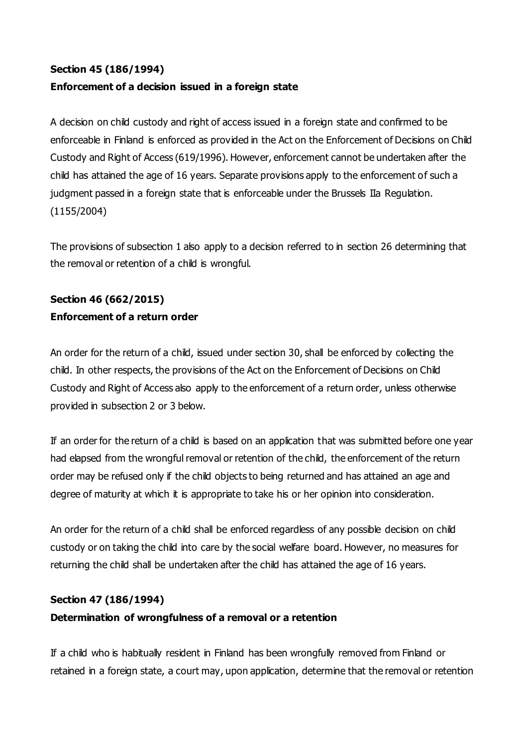## **Section 45 (186/1994) Enforcement of a decision issued in a foreign state**

A decision on child custody and right of access issued in a foreign state and confirmed to be enforceable in Finland is enforced as provided in the Act on the Enforcement of Decisions on Child Custody and Right of Access (619/1996). However, enforcement cannot be undertaken after the child has attained the age of 16 years. Separate provisions apply to the enforcement of such a judgment passed in a foreign state that is enforceable under the Brussels IIa Regulation. (1155/2004)

The provisions of subsection 1 also apply to a decision referred to in section 26 determining that the removal or retention of a child is wrongful.

# **Section 46 (662/2015) Enforcement of a return order**

An order for the return of a child, issued under section 30, shall be enforced by collecting the child. In other respects, the provisions of the Act on the Enforcement of Decisions on Child Custody and Right of Access also apply to the enforcement of a return order, unless otherwise provided in subsection 2 or 3 below.

If an order for the return of a child is based on an application that was submitted before one year had elapsed from the wrongful removal or retention of the child, the enforcement of the return order may be refused only if the child objects to being returned and has attained an age and degree of maturity at which it is appropriate to take his or her opinion into consideration.

An order for the return of a child shall be enforced regardless of any possible decision on child custody or on taking the child into care by the social welfare board. However, no measures for returning the child shall be undertaken after the child has attained the age of 16 years.

### **Section 47 (186/1994)**

### **Determination of wrongfulness of a removal or a retention**

If a child who is habitually resident in Finland has been wrongfully removed from Finland or retained in a foreign state, a court may, upon application, determine that the removal or retention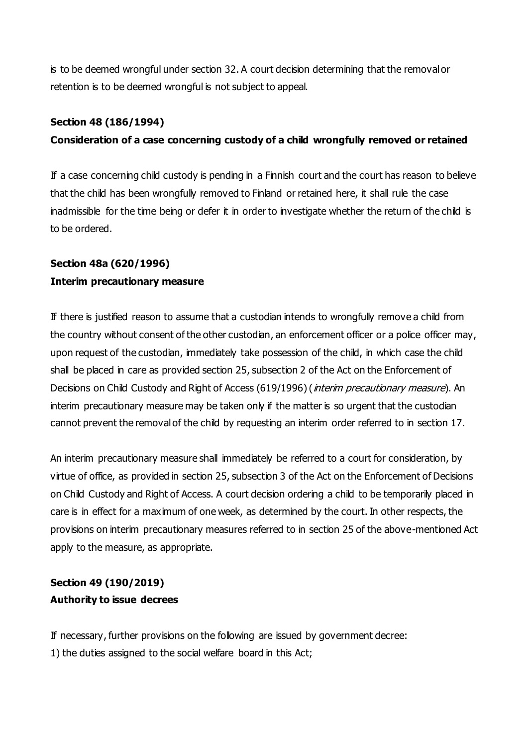is to be deemed wrongful under section 32. A court decision determining that the removal or retention is to be deemed wrongful is not subject to appeal.

#### **Section 48 (186/1994)**

## **Consideration of a case concerning custody of a child wrongfully removed or retained**

If a case concerning child custody is pending in a Finnish court and the court has reason to believe that the child has been wrongfully removed to Finland or retained here, it shall rule the case inadmissible for the time being or defer it in order to investigate whether the return of the child is to be ordered.

## **Section 48a (620/1996) Interim precautionary measure**

If there is justified reason to assume that a custodian intends to wrongfully remove a child from the country without consent of the other custodian, an enforcement officer or a police officer may, upon request of the custodian, immediately take possession of the child, in which case the child shall be placed in care as provided section 25, subsection 2 of the Act on the Enforcement of Decisions on Child Custody and Right of Access (619/1996) (*interim precautionary measure*). An interim precautionary measure may be taken only if the matter is so urgent that the custodian cannot prevent the removal of the child by requesting an interim order referred to in section 17.

An interim precautionary measure shall immediately be referred to a court for consideration, by virtue of office, as provided in section 25, subsection 3 of the Act on the Enforcement of Decisions on Child Custody and Right of Access. A court decision ordering a child to be temporarily placed in care is in effect for a maximum of one week, as determined by the court. In other respects, the provisions on interim precautionary measures referred to in section 25 of the above-mentioned Act apply to the measure, as appropriate.

## **Section 49 (190/2019) Authority to issue decrees**

If necessary, further provisions on the following are issued by government decree: 1) the duties assigned to the social welfare board in this Act;